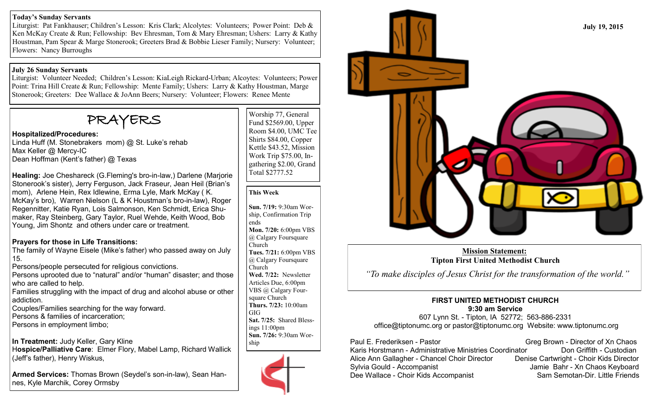#### **Today's Sunday Servants**

Liturgist: Pat Fankhauser; Children's Lesson: Kris Clark; Alcolytes: Volunteers; Power Point: Deb & Ken McKay Create & Run; Fellowship: Bev Ehresman, Tom & Mary Ehresman; Ushers: Larry & Kathy Houstman, Pam Spear & Marge Stonerook; Greeters Brad & Bobbie Lieser Family; Nursery: Volunteer; Flowers: Nancy Burroughs

#### **July 26 Sunday Servants**

Liturgist: Volunteer Needed; Children's Lesson: KiaLeigh Rickard-Urban; Alcoytes: Volunteers; Power Point: Trina Hill Create & Run; Fellowship: Mente Family; Ushers: Larry & Kathy Houstman, Marge Stonerook; Greeters: Dee Wallace & JoAnn Beers; Nursery: Volunteer; Flowers: Renee Mente

# PRAYERS

### **Hospitalized/Procedures:**

Linda Huff (M. Stonebrakers mom) @ St. Luke's rehab Max Keller @ Mercy-IC Dean Hoffman (Kent's father) @ Texas

**Healing:** Joe Cheshareck (G.Fleming's bro-in-law,) Darlene (Marjorie Stonerook's sister), Jerry Ferguson, Jack Fraseur, Jean Heil (Brian's mom), Arlene Hein, Rex Idlewine, Erma Lyle, Mark McKay ( K. McKay's bro), Warren Nielson (L & K Houstman's bro-in-law), Roger Regennitter, Katie Ryan, Lois Salmonson, Ken Schmidt, Erica Shumaker, Ray Steinberg, Gary Taylor, Ruel Wehde, Keith Wood, Bob Young, Jim Shontz and others under care or treatment.

# **Prayers for those in Life Transitions:**

The family of Wayne Eisele (Mike's father) who passed away on July 15.

Persons/people persecuted for religious convictions.

Persons uprooted due to "natural" and/or "human" disaster; and those who are called to help.

Families struggling with the impact of drug and alcohol abuse or other addiction.

Couples/Families searching for the way forward.

Persons & families of incarceration;

Persons in employment limbo;

**In Treatment:** Judy Keller, Gary Kline H**ospice/Palliative Care**: Elmer Flory, Mabel Lamp, Richard Wallick (Jeff's father), Henry Wiskus,

**Armed Services:** Thomas Brown (Seydel's son-in-law), Sean Hannes, Kyle Marchik, Corey Ormsby

Worship 77, General Fund \$2569.00, Upper Room \$4.00, UMC Tee Shirts \$84.00, Copper Kettle \$43.52, Mission Work Trip \$75.00, Ingathering \$2.00, Grand Total \$2777.52

#### **This Week**

**Sun. 7/19:** 9:30am Worship, Confirmation Trip ends **Mon. 7/20:** 6:00pm VBS @ Calgary Foursquare Church **Tues. 7/21:** 6:00pm VBS @ Calgary Foursquare Church **Wed. 7/22:** Newsletter Articles Due, 6:00pm VBS @ Calgary Foursquare Church **Thurs. 7/23:** 10:00am GIG **Sat. 7/25:** Shared Blessings 11:00pm **Sun. 7/26:** 9:30am Worship





**Mission Statement: Tipton First United Methodist Church** 

*"To make disciples of Jesus Christ for the transformation of the world."*

## **FIRST UNITED METHODIST CHURCH 9:30 am Service**

607 Lynn St. - Tipton, IA 52772; 563-886-2331 office@tiptonumc.org or pastor@tiptonumc.org Website: www.tiptonumc.org

Paul E. Frederiksen - Pastor Greg Brown - Director of Xn Chaos Karis Horstmann - Administrative Ministries Coordinator **Don Griffith - Custodian** Alice Ann Gallagher - Chancel Choir Director Denise Cartwright - Choir Kids Director Sylvia Gould - Accompanist **Jamie Bahr** - Xn Chaos Keyboard Dee Wallace - Choir Kids Accompanist Sam Semotan-Dir. Little Friends